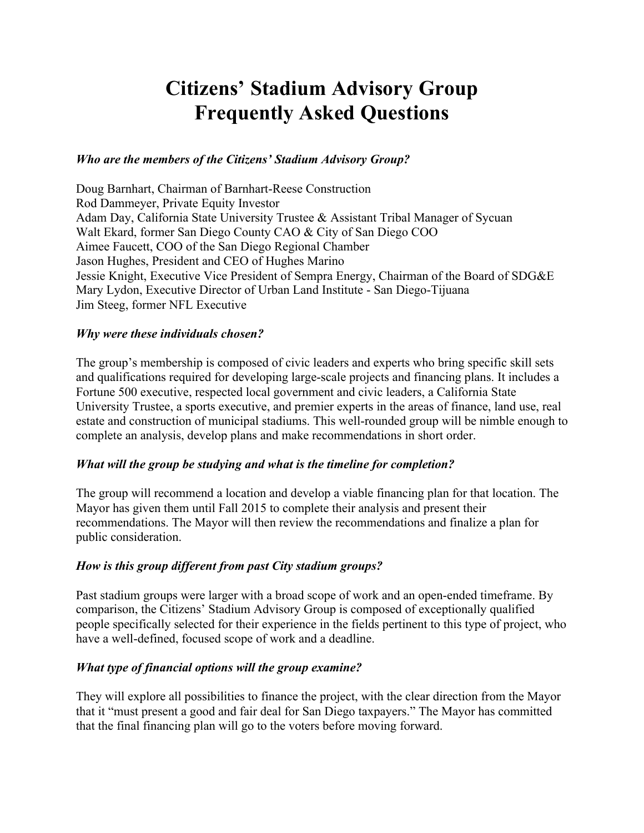# **Citizens' Stadium Advisory Group Frequently Asked Questions**

## *Who are the members of the Citizens' Stadium Advisory Group?*

Doug Barnhart, Chairman of Barnhart-Reese Construction Rod Dammeyer, Private Equity Investor Adam Day, California State University Trustee & Assistant Tribal Manager of Sycuan Walt Ekard, former San Diego County CAO & City of San Diego COO Aimee Faucett, COO of the San Diego Regional Chamber Jason Hughes, President and CEO of Hughes Marino Jessie Knight, Executive Vice President of Sempra Energy, Chairman of the Board of SDG&E Mary Lydon, Executive Director of Urban Land Institute - San Diego-Tijuana Jim Steeg, former NFL Executive

### *Why were these individuals chosen?*

The group's membership is composed of civic leaders and experts who bring specific skill sets and qualifications required for developing large-scale projects and financing plans. It includes a Fortune 500 executive, respected local government and civic leaders, a California State University Trustee, a sports executive, and premier experts in the areas of finance, land use, real estate and construction of municipal stadiums. This well-rounded group will be nimble enough to complete an analysis, develop plans and make recommendations in short order.

### *What will the group be studying and what is the timeline for completion?*

The group will recommend a location and develop a viable financing plan for that location. The Mayor has given them until Fall 2015 to complete their analysis and present their recommendations. The Mayor will then review the recommendations and finalize a plan for public consideration.

### *How is this group different from past City stadium groups?*

Past stadium groups were larger with a broad scope of work and an open-ended timeframe. By comparison, the Citizens' Stadium Advisory Group is composed of exceptionally qualified people specifically selected for their experience in the fields pertinent to this type of project, who have a well-defined, focused scope of work and a deadline.

### *What type of financial options will the group examine?*

They will explore all possibilities to finance the project, with the clear direction from the Mayor that it "must present a good and fair deal for San Diego taxpayers." The Mayor has committed that the final financing plan will go to the voters before moving forward.